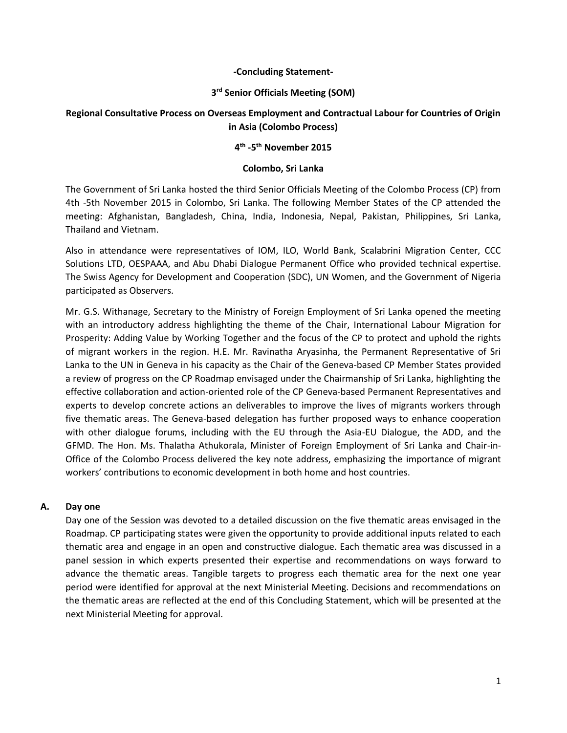#### **-Concluding Statement-**

## **3 rd Senior Officials Meeting (SOM)**

## **Regional Consultative Process on Overseas Employment and Contractual Labour for Countries of Origin in Asia (Colombo Process)**

## **4 th -5 th November 2015**

#### **Colombo, Sri Lanka**

The Government of Sri Lanka hosted the third Senior Officials Meeting of the Colombo Process (CP) from 4th -5th November 2015 in Colombo, Sri Lanka. The following Member States of the CP attended the meeting: Afghanistan, Bangladesh, China, India, Indonesia, Nepal, Pakistan, Philippines, Sri Lanka, Thailand and Vietnam.

Also in attendance were representatives of IOM, ILO, World Bank, Scalabrini Migration Center, CCC Solutions LTD, OESPAAA, and Abu Dhabi Dialogue Permanent Office who provided technical expertise. The Swiss Agency for Development and Cooperation (SDC), UN Women, and the Government of Nigeria participated as Observers.

Mr. G.S. Withanage, Secretary to the Ministry of Foreign Employment of Sri Lanka opened the meeting with an introductory address highlighting the theme of the Chair, International Labour Migration for Prosperity: Adding Value by Working Together and the focus of the CP to protect and uphold the rights of migrant workers in the region. H.E. Mr. Ravinatha Aryasinha, the Permanent Representative of Sri Lanka to the UN in Geneva in his capacity as the Chair of the Geneva-based CP Member States provided a review of progress on the CP Roadmap envisaged under the Chairmanship of Sri Lanka, highlighting the effective collaboration and action-oriented role of the CP Geneva-based Permanent Representatives and experts to develop concrete actions an deliverables to improve the lives of migrants workers through five thematic areas. The Geneva-based delegation has further proposed ways to enhance cooperation with other dialogue forums, including with the EU through the Asia-EU Dialogue, the ADD, and the GFMD. The Hon. Ms. Thalatha Athukorala, Minister of Foreign Employment of Sri Lanka and Chair-in-Office of the Colombo Process delivered the key note address, emphasizing the importance of migrant workers' contributions to economic development in both home and host countries.

### **A. Day one**

Day one of the Session was devoted to a detailed discussion on the five thematic areas envisaged in the Roadmap. CP participating states were given the opportunity to provide additional inputs related to each thematic area and engage in an open and constructive dialogue. Each thematic area was discussed in a panel session in which experts presented their expertise and recommendations on ways forward to advance the thematic areas. Tangible targets to progress each thematic area for the next one year period were identified for approval at the next Ministerial Meeting. Decisions and recommendations on the thematic areas are reflected at the end of this Concluding Statement, which will be presented at the next Ministerial Meeting for approval.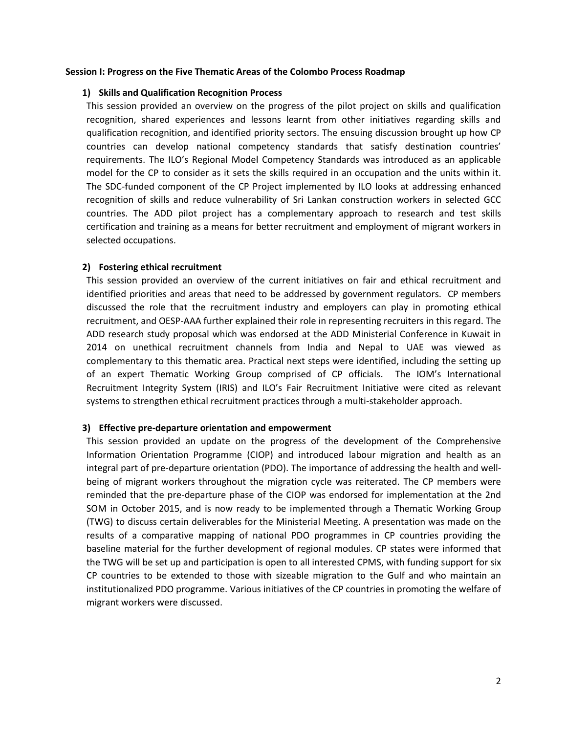#### **Session I: Progress on the Five Thematic Areas of the Colombo Process Roadmap**

#### **1) Skills and Qualification Recognition Process**

This session provided an overview on the progress of the pilot project on skills and qualification recognition, shared experiences and lessons learnt from other initiatives regarding skills and qualification recognition, and identified priority sectors. The ensuing discussion brought up how CP countries can develop national competency standards that satisfy destination countries' requirements. The ILO's Regional Model Competency Standards was introduced as an applicable model for the CP to consider as it sets the skills required in an occupation and the units within it. The SDC-funded component of the CP Project implemented by ILO looks at addressing enhanced recognition of skills and reduce vulnerability of Sri Lankan construction workers in selected GCC countries. The ADD pilot project has a complementary approach to research and test skills certification and training as a means for better recruitment and employment of migrant workers in selected occupations.

#### **2) Fostering ethical recruitment**

This session provided an overview of the current initiatives on fair and ethical recruitment and identified priorities and areas that need to be addressed by government regulators. CP members discussed the role that the recruitment industry and employers can play in promoting ethical recruitment, and OESP-AAA further explained their role in representing recruiters in this regard. The ADD research study proposal which was endorsed at the ADD Ministerial Conference in Kuwait in 2014 on unethical recruitment channels from India and Nepal to UAE was viewed as complementary to this thematic area. Practical next steps were identified, including the setting up of an expert Thematic Working Group comprised of CP officials. The IOM's International Recruitment Integrity System (IRIS) and ILO's Fair Recruitment Initiative were cited as relevant systems to strengthen ethical recruitment practices through a multi-stakeholder approach.

#### **3) Effective pre-departure orientation and empowerment**

This session provided an update on the progress of the development of the Comprehensive Information Orientation Programme (CIOP) and introduced labour migration and health as an integral part of pre-departure orientation (PDO). The importance of addressing the health and wellbeing of migrant workers throughout the migration cycle was reiterated. The CP members were reminded that the pre-departure phase of the CIOP was endorsed for implementation at the 2nd SOM in October 2015, and is now ready to be implemented through a Thematic Working Group (TWG) to discuss certain deliverables for the Ministerial Meeting. A presentation was made on the results of a comparative mapping of national PDO programmes in CP countries providing the baseline material for the further development of regional modules. CP states were informed that the TWG will be set up and participation is open to all interested CPMS, with funding support for six CP countries to be extended to those with sizeable migration to the Gulf and who maintain an institutionalized PDO programme. Various initiatives of the CP countries in promoting the welfare of migrant workers were discussed.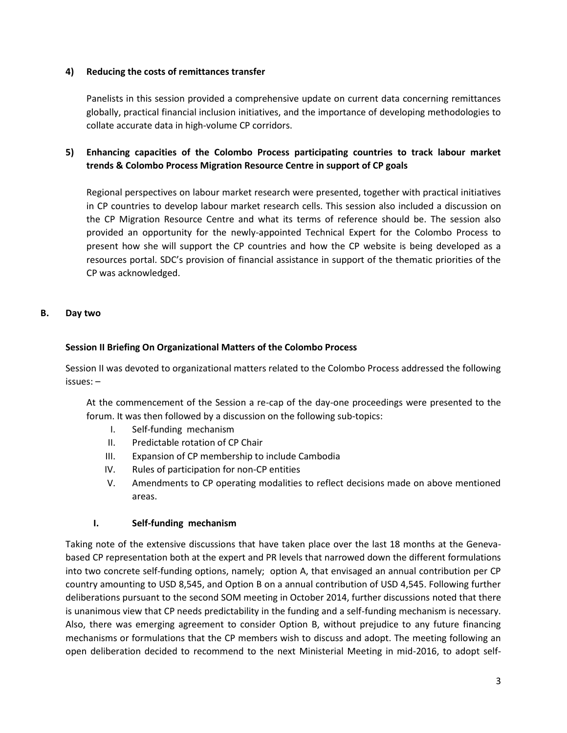### **4) Reducing the costs of remittances transfer**

Panelists in this session provided a comprehensive update on current data concerning remittances globally, practical financial inclusion initiatives, and the importance of developing methodologies to collate accurate data in high-volume CP corridors.

# **5) Enhancing capacities of the Colombo Process participating countries to track labour market trends & Colombo Process Migration Resource Centre in support of CP goals**

Regional perspectives on labour market research were presented, together with practical initiatives in CP countries to develop labour market research cells. This session also included a discussion on the CP Migration Resource Centre and what its terms of reference should be. The session also provided an opportunity for the newly-appointed Technical Expert for the Colombo Process to present how she will support the CP countries and how the CP website is being developed as a resources portal. SDC's provision of financial assistance in support of the thematic priorities of the CP was acknowledged.

### **B. Day two**

### **Session II Briefing On Organizational Matters of the Colombo Process**

Session II was devoted to organizational matters related to the Colombo Process addressed the following issues: –

At the commencement of the Session a re-cap of the day-one proceedings were presented to the forum. It was then followed by a discussion on the following sub-topics:

- I. Self-funding mechanism
- II. Predictable rotation of CP Chair
- III. Expansion of CP membership to include Cambodia
- IV. Rules of participation for non-CP entities
- V. Amendments to CP operating modalities to reflect decisions made on above mentioned areas.

### **I. Self-funding mechanism**

Taking note of the extensive discussions that have taken place over the last 18 months at the Genevabased CP representation both at the expert and PR levels that narrowed down the different formulations into two concrete self-funding options, namely; option A, that envisaged an annual contribution per CP country amounting to USD 8,545, and Option B on a annual contribution of USD 4,545. Following further deliberations pursuant to the second SOM meeting in October 2014, further discussions noted that there is unanimous view that CP needs predictability in the funding and a self-funding mechanism is necessary. Also, there was emerging agreement to consider Option B, without prejudice to any future financing mechanisms or formulations that the CP members wish to discuss and adopt. The meeting following an open deliberation decided to recommend to the next Ministerial Meeting in mid-2016, to adopt self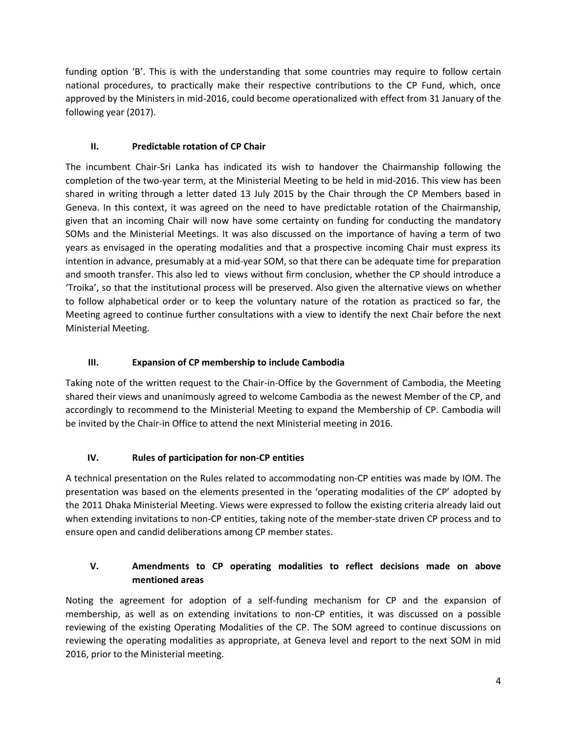funding option 'B'. This is with the understanding that some countries may require to follow certain national procedures, to practically make their respective contributions to the CP Fund, which, once approved by the Ministers in mid-2016, could become operationalized with effect from 31 January of the following year (2017).

# **II. Predictable rotation of CP Chair**

The incumbent Chair-Sri Lanka has indicated its wish to handover the Chairmanship following the completion of the two-year term, at the Ministerial Meeting to be held in mid-2016. This view has been shared in writing through a letter dated 13 July 2015 by the Chair through the CP Members based in Geneva. In this context, it was agreed on the need to have predictable rotation of the Chairmanship, given that an incoming Chair will now have some certainty on funding for conducting the mandatory SOMs and the Ministerial Meetings. It was also discussed on the importance of having a term of two years as envisaged in the operating modalities and that a prospective incoming Chair must express its intention in advance, presumably at a mid-year SOM, so that there can be adequate time for preparation and smooth transfer. This also led to views without firm conclusion, whether the CP should introduce a 'Troika', so that the institutional process will be preserved. Also given the alternative views on whether to follow alphabetical order or to keep the voluntary nature of the rotation as practiced so far, the Meeting agreed to continue further consultations with a view to identify the next Chair before the next Ministerial Meeting.

## **III. Expansion of CP membership to include Cambodia**

Taking note of the written request to the Chair-in-Office by the Government of Cambodia, the Meeting shared their views and unanimously agreed to welcome Cambodia as the newest Member of the CP, and accordingly to recommend to the Ministerial Meeting to expand the Membership of CP. Cambodia will be invited by the Chair-in Office to attend the next Ministerial meeting in 2016.

# **IV. Rules of participation for non-CP entities**

A technical presentation on the Rules related to accommodating non-CP entities was made by IOM. The presentation was based on the elements presented in the 'operating modalities of the CP' adopted by the 2011 Dhaka Ministerial Meeting. Views were expressed to follow the existing criteria already laid out when extending invitations to non-CP entities, taking note of the member-state driven CP process and to ensure open and candid deliberations among CP member states.

# **V. Amendments to CP operating modalities to reflect decisions made on above mentioned areas**

Noting the agreement for adoption of a self-funding mechanism for CP and the expansion of membership, as well as on extending invitations to non-CP entities, it was discussed on a possible reviewing of the existing Operating Modalities of the CP. The SOM agreed to continue discussions on reviewing the operating modalities as appropriate, at Geneva level and report to the next SOM in mid 2016, prior to the Ministerial meeting.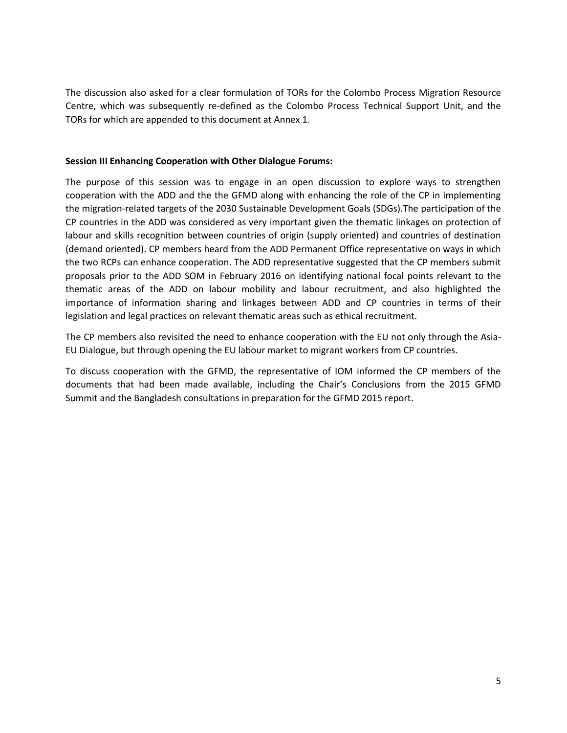The discussion also asked for a clear formulation of TORs for the Colombo Process Migration Resource Centre, which was subsequently re-defined as the Colombo Process Technical Support Unit, and the TORs for which are appended to this document at Annex 1.

#### **Session III Enhancing Cooperation with Other Dialogue Forums:**

The purpose of this session was to engage in an open discussion to explore ways to strengthen cooperation with the ADD and the the GFMD along with enhancing the role of the CP in implementing the migration-related targets of the 2030 Sustainable Development Goals (SDGs).The participation of the CP countries in the ADD was considered as very important given the thematic linkages on protection of labour and skills recognition between countries of origin (supply oriented) and countries of destination (demand oriented). CP members heard from the ADD Permanent Office representative on ways in which the two RCPs can enhance cooperation. The ADD representative suggested that the CP members submit proposals prior to the ADD SOM in February 2016 on identifying national focal points relevant to the thematic areas of the ADD on labour mobility and labour recruitment, and also highlighted the importance of information sharing and linkages between ADD and CP countries in terms of their legislation and legal practices on relevant thematic areas such as ethical recruitment.

The CP members also revisited the need to enhance cooperation with the EU not only through the Asia-EU Dialogue, but through opening the EU labour market to migrant workers from CP countries.

To discuss cooperation with the GFMD, the representative of IOM informed the CP members of the documents that had been made available, including the Chair's Conclusions from the 2015 GFMD Summit and the Bangladesh consultations in preparation for the GFMD 2015 report.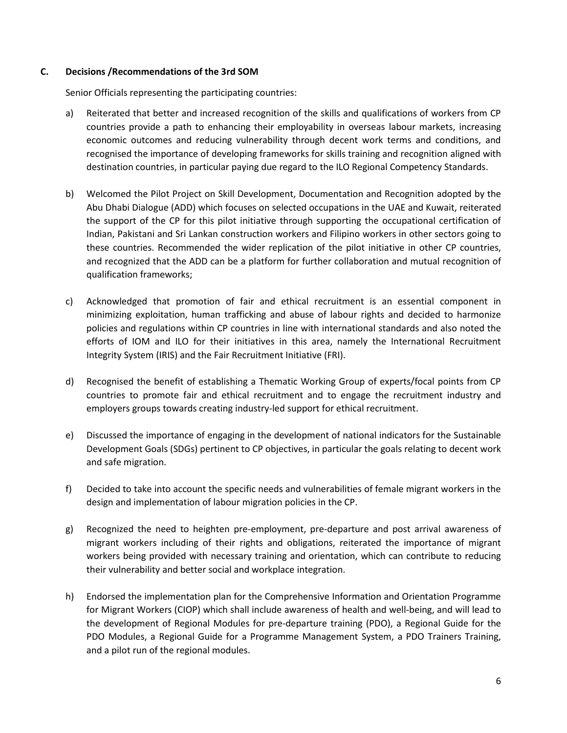### **C. Decisions /Recommendations of the 3rd SOM**

Senior Officials representing the participating countries:

- a) Reiterated that better and increased recognition of the skills and qualifications of workers from CP countries provide a path to enhancing their employability in overseas labour markets, increasing economic outcomes and reducing vulnerability through decent work terms and conditions, and recognised the importance of developing frameworks for skills training and recognition aligned with destination countries, in particular paying due regard to the ILO Regional Competency Standards.
- b) Welcomed the Pilot Project on Skill Development, Documentation and Recognition adopted by the Abu Dhabi Dialogue (ADD) which focuses on selected occupations in the UAE and Kuwait, reiterated the support of the CP for this pilot initiative through supporting the occupational certification of Indian, Pakistani and Sri Lankan construction workers and Filipino workers in other sectors going to these countries. Recommended the wider replication of the pilot initiative in other CP countries, and recognized that the ADD can be a platform for further collaboration and mutual recognition of qualification frameworks;
- c) Acknowledged that promotion of fair and ethical recruitment is an essential component in minimizing exploitation, human trafficking and abuse of labour rights and decided to harmonize policies and regulations within CP countries in line with international standards and also noted the efforts of IOM and ILO for their initiatives in this area, namely the International Recruitment Integrity System (IRIS) and the Fair Recruitment Initiative (FRI).
- d) Recognised the benefit of establishing a Thematic Working Group of experts/focal points from CP countries to promote fair and ethical recruitment and to engage the recruitment industry and employers groups towards creating industry-led support for ethical recruitment.
- e) Discussed the importance of engaging in the development of national indicators for the Sustainable Development Goals (SDGs) pertinent to CP objectives, in particular the goals relating to decent work and safe migration.
- f) Decided to take into account the specific needs and vulnerabilities of female migrant workers in the design and implementation of labour migration policies in the CP.
- g) Recognized the need to heighten pre-employment, pre-departure and post arrival awareness of migrant workers including of their rights and obligations, reiterated the importance of migrant workers being provided with necessary training and orientation, which can contribute to reducing their vulnerability and better social and workplace integration.
- h) Endorsed the implementation plan for the Comprehensive Information and Orientation Programme for Migrant Workers (CIOP) which shall include awareness of health and well-being, and will lead to the development of Regional Modules for pre-departure training (PDO), a Regional Guide for the PDO Modules, a Regional Guide for a Programme Management System, a PDO Trainers Training, and a pilot run of the regional modules.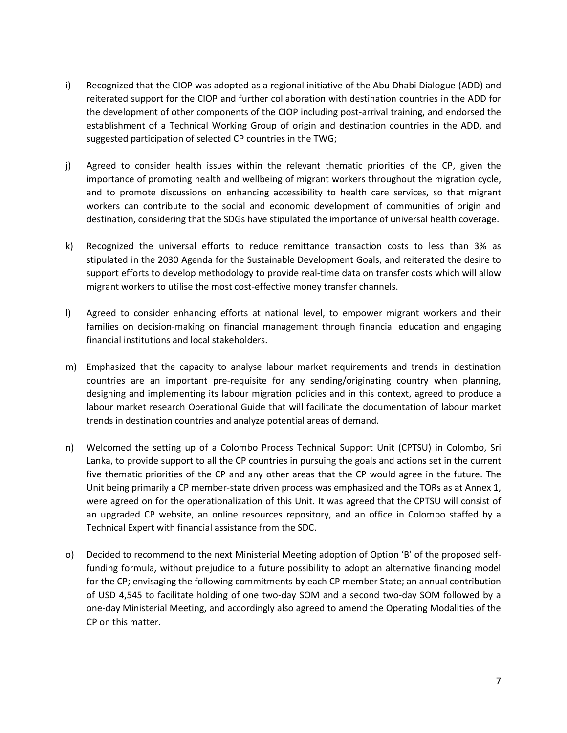- i) Recognized that the CIOP was adopted as a regional initiative of the Abu Dhabi Dialogue (ADD) and reiterated support for the CIOP and further collaboration with destination countries in the ADD for the development of other components of the CIOP including post-arrival training, and endorsed the establishment of a Technical Working Group of origin and destination countries in the ADD, and suggested participation of selected CP countries in the TWG;
- j) Agreed to consider health issues within the relevant thematic priorities of the CP, given the importance of promoting health and wellbeing of migrant workers throughout the migration cycle, and to promote discussions on enhancing accessibility to health care services, so that migrant workers can contribute to the social and economic development of communities of origin and destination, considering that the SDGs have stipulated the importance of universal health coverage.
- k) Recognized the universal efforts to reduce remittance transaction costs to less than 3% as stipulated in the 2030 Agenda for the Sustainable Development Goals, and reiterated the desire to support efforts to develop methodology to provide real-time data on transfer costs which will allow migrant workers to utilise the most cost-effective money transfer channels.
- l) Agreed to consider enhancing efforts at national level, to empower migrant workers and their families on decision-making on financial management through financial education and engaging financial institutions and local stakeholders.
- m) Emphasized that the capacity to analyse labour market requirements and trends in destination countries are an important pre-requisite for any sending/originating country when planning, designing and implementing its labour migration policies and in this context, agreed to produce a labour market research Operational Guide that will facilitate the documentation of labour market trends in destination countries and analyze potential areas of demand.
- n) Welcomed the setting up of a Colombo Process Technical Support Unit (CPTSU) in Colombo, Sri Lanka, to provide support to all the CP countries in pursuing the goals and actions set in the current five thematic priorities of the CP and any other areas that the CP would agree in the future. The Unit being primarily a CP member-state driven process was emphasized and the TORs as at Annex 1, were agreed on for the operationalization of this Unit. It was agreed that the CPTSU will consist of an upgraded CP website, an online resources repository, and an office in Colombo staffed by a Technical Expert with financial assistance from the SDC.
- o) Decided to recommend to the next Ministerial Meeting adoption of Option 'B' of the proposed selffunding formula, without prejudice to a future possibility to adopt an alternative financing model for the CP; envisaging the following commitments by each CP member State; an annual contribution of USD 4,545 to facilitate holding of one two-day SOM and a second two-day SOM followed by a one-day Ministerial Meeting, and accordingly also agreed to amend the Operating Modalities of the CP on this matter.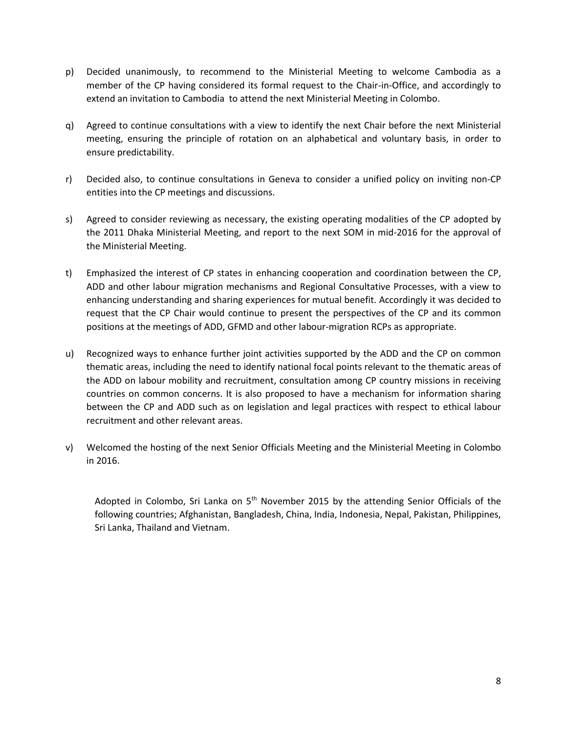- p) Decided unanimously, to recommend to the Ministerial Meeting to welcome Cambodia as a member of the CP having considered its formal request to the Chair-in-Office, and accordingly to extend an invitation to Cambodia to attend the next Ministerial Meeting in Colombo.
- q) Agreed to continue consultations with a view to identify the next Chair before the next Ministerial meeting, ensuring the principle of rotation on an alphabetical and voluntary basis, in order to ensure predictability.
- r) Decided also, to continue consultations in Geneva to consider a unified policy on inviting non-CP entities into the CP meetings and discussions.
- s) Agreed to consider reviewing as necessary, the existing operating modalities of the CP adopted by the 2011 Dhaka Ministerial Meeting, and report to the next SOM in mid-2016 for the approval of the Ministerial Meeting.
- t) Emphasized the interest of CP states in enhancing cooperation and coordination between the CP, ADD and other labour migration mechanisms and Regional Consultative Processes, with a view to enhancing understanding and sharing experiences for mutual benefit. Accordingly it was decided to request that the CP Chair would continue to present the perspectives of the CP and its common positions at the meetings of ADD, GFMD and other labour-migration RCPs as appropriate.
- u) Recognized ways to enhance further joint activities supported by the ADD and the CP on common thematic areas, including the need to identify national focal points relevant to the thematic areas of the ADD on labour mobility and recruitment, consultation among CP country missions in receiving countries on common concerns. It is also proposed to have a mechanism for information sharing between the CP and ADD such as on legislation and legal practices with respect to ethical labour recruitment and other relevant areas.
- v) Welcomed the hosting of the next Senior Officials Meeting and the Ministerial Meeting in Colombo in 2016.

Adopted in Colombo, Sri Lanka on  $5<sup>th</sup>$  November 2015 by the attending Senior Officials of the following countries; Afghanistan, Bangladesh, China, India, Indonesia, Nepal, Pakistan, Philippines, Sri Lanka, Thailand and Vietnam.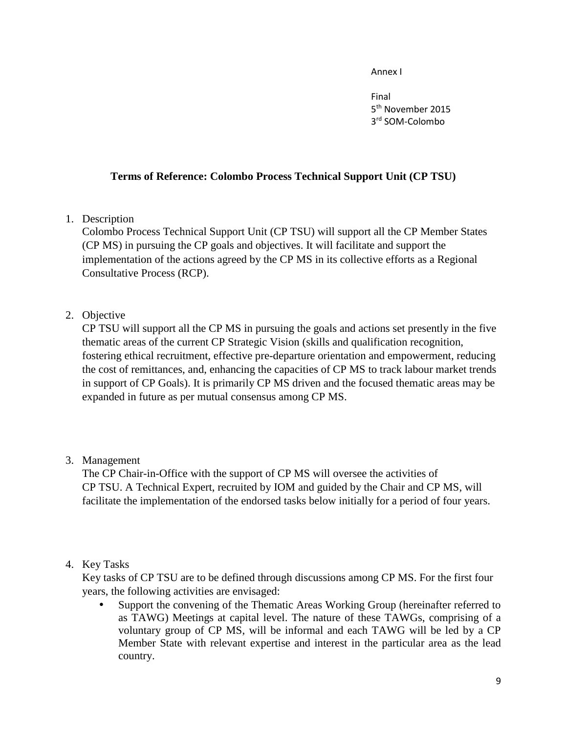Annex I

Final 5<sup>th</sup> November 2015 3 rd SOM-Colombo

# **Terms of Reference: Colombo Process Technical Support Unit (CP TSU)**

1. Description

Colombo Process Technical Support Unit (CP TSU) will support all the CP Member States (CP MS) in pursuing the CP goals and objectives. It will facilitate and support the implementation of the actions agreed by the CP MS in its collective efforts as a Regional Consultative Process (RCP).

2. Objective

CP TSU will support all the CP MS in pursuing the goals and actions set presently in the five thematic areas of the current CP Strategic Vision (skills and qualification recognition, fostering ethical recruitment, effective pre-departure orientation and empowerment, reducing the cost of remittances, and, enhancing the capacities of CP MS to track labour market trends in support of CP Goals). It is primarily CP MS driven and the focused thematic areas may be expanded in future as per mutual consensus among CP MS.

# 3. Management

The CP Chair-in-Office with the support of CP MS will oversee the activities of CP TSU. A Technical Expert, recruited by IOM and guided by the Chair and CP MS, will facilitate the implementation of the endorsed tasks below initially for a period of four years.

# 4. Key Tasks

Key tasks of CP TSU are to be defined through discussions among CP MS. For the first four years, the following activities are envisaged:

 Support the convening of the Thematic Areas Working Group (hereinafter referred to as TAWG) Meetings at capital level. The nature of these TAWGs, comprising of a voluntary group of CP MS, will be informal and each TAWG will be led by a CP Member State with relevant expertise and interest in the particular area as the lead country.